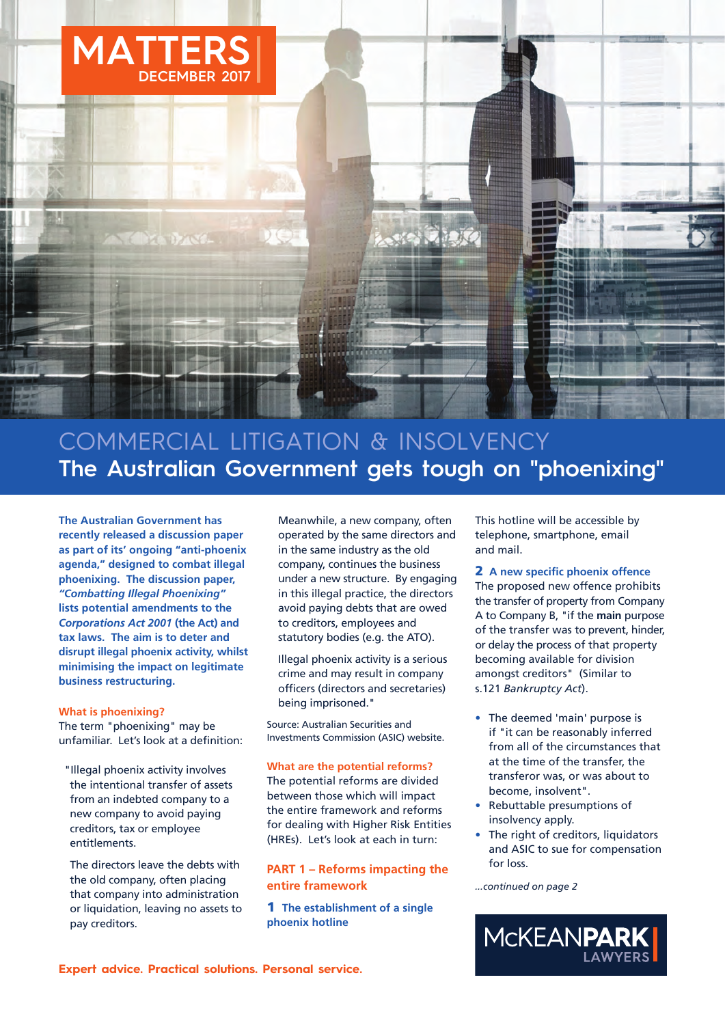

# COMMERCIAL LITIGATION & INSOLVENCY **The Australian Government gets tough on "phoenixing"**

**The Australian Government has recently released a discussion paper as part of its' ongoing "anti-phoenix agenda," designed to combat illegal phoenixing. The discussion paper,** *"Combatting Illegal Phoenixing"* **lists potential amendments to the** *Corporations Act 2001* **(the Act) and tax laws. The aim is to deter and disrupt illegal phoenix activity, whilst minimising the impact on legitimate business restructuring.**

## **What is phoenixing?**

The term "phoenixing" may be unfamiliar. Let's look at a definition:

"Illegal phoenix activity involves the intentional transfer of assets from an indebted company to a new company to avoid paying creditors, tax or employee entitlements.

The directors leave the debts with the old company, often placing that company into administration or liquidation, leaving no assets to pay creditors.

Meanwhile, a new company, often operated by the same directors and in the same industry as the old company, continues the business under a new structure. By engaging in this illegal practice, the directors avoid paying debts that are owed to creditors, employees and statutory bodies (e.g. the ATO).

Illegal phoenix activity is a serious crime and may result in company officers (directors and secretaries) being imprisoned."

Source: Australian Securities and Investments Commission (ASIC) website.

## **What are the potential reforms?**

The potential reforms are divided between those which will impact the entire framework and reforms for dealing with Higher Risk Entities (HREs). Let's look at each in turn:

## **PART 1 – Reforms impacting the entire framework**

**1 The establishment of a single phoenix hotline**

This hotline will be accessible by telephone, smartphone, email and mail.

**2 A new specific phoenix offence** The proposed new offence prohibits the transfer of property from Company A to Company B, "if the **main** purpose of the transfer was to prevent, hinder, or delay the process of that property becoming available for division amongst creditors" (Similar to s.121 *Bankruptcy Act*).

- The deemed 'main' purpose is if "it can be reasonably inferred from all of the circumstances that at the time of the transfer, the transferor was, or was about to become, insolvent".
- Rebuttable presumptions of insolvency apply.
- The right of creditors, liquidators and ASIC to sue for compensation for loss.

*...continued on page 2*

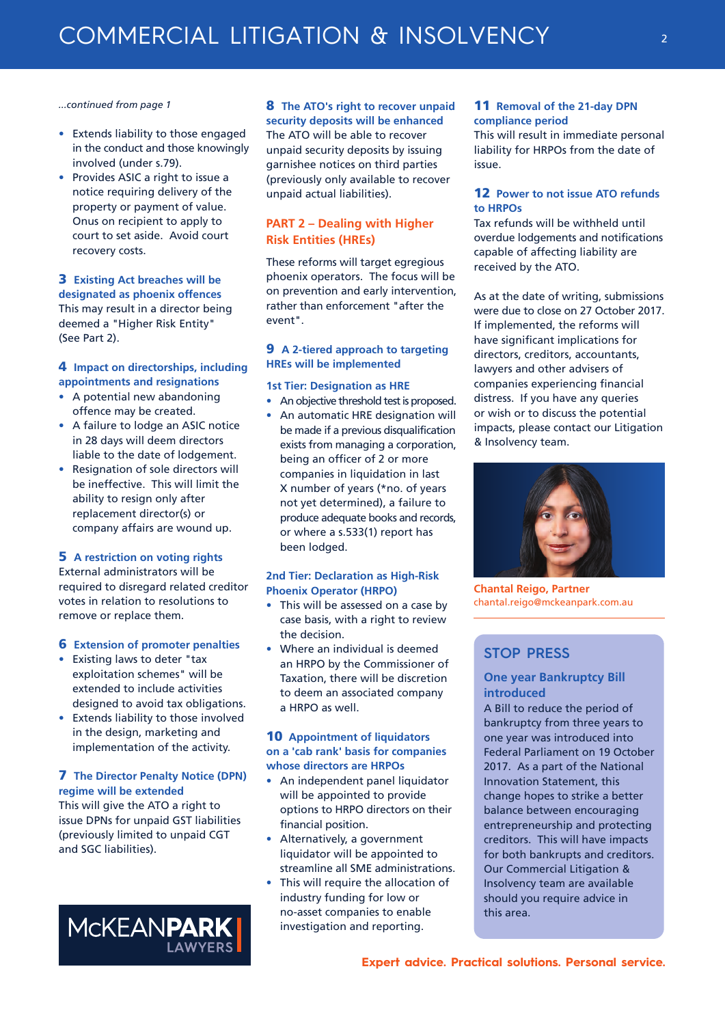#### *...continued from page 1*

- Extends liability to those engaged in the conduct and those knowingly involved (under s.79).
- Provides ASIC a right to issue a notice requiring delivery of the property or payment of value. Onus on recipient to apply to court to set aside. Avoid court recovery costs.

## **3 Existing Act breaches will be**

**designated as phoenix offences** This may result in a director being deemed a "Higher Risk Entity" (See Part 2).

## **4 Impact on directorships, including appointments and resignations**

- A potential new abandoning offence may be created.
- A failure to lodge an ASIC notice in 28 days will deem directors liable to the date of lodgement.
- Resignation of sole directors will be ineffective. This will limit the ability to resign only after replacement director(s) or company affairs are wound up.

## **5 A restriction on voting rights**

External administrators will be required to disregard related creditor votes in relation to resolutions to remove or replace them.

## **6 Extension of promoter penalties**

- Existing laws to deter "tax exploitation schemes" will be extended to include activities designed to avoid tax obligations.
- Extends liability to those involved in the design, marketing and implementation of the activity.

## **7 The Director Penalty Notice (DPN) regime will be extended**

This will give the ATO a right to issue DPNs for unpaid GST liabilities (previously limited to unpaid CGT and SGC liabilities).



## **8 The ATO's right to recover unpaid**

**security deposits will be enhanced** The ATO will be able to recover unpaid security deposits by issuing garnishee notices on third parties (previously only available to recover unpaid actual liabilities).

## **PART 2 – Dealing with Higher Risk Entities (HREs)**

These reforms will target egregious phoenix operators. The focus will be on prevention and early intervention, rather than enforcement "after the event".

## **9 A 2-tiered approach to targeting HREs will be implemented**

## **1st Tier: Designation as HRE**

- An objective threshold test is proposed.
- An automatic HRE designation will be made if a previous disqualification exists from managing a corporation, being an officer of 2 or more companies in liquidation in last X number of years (\*no. of years not yet determined), a failure to produce adequate books and records, or where a s.533(1) report has been lodged.

## **2nd Tier: Declaration as High-Risk Phoenix Operator (HRPO)**

- This will be assessed on a case by case basis, with a right to review the decision.
- Where an individual is deemed an HRPO by the Commissioner of Taxation, there will be discretion to deem an associated company a HRPO as well.

## **10 Appointment of liquidators on a 'cab rank' basis for companies whose directors are HRPOs**

- An independent panel liquidator will be appointed to provide options to HRPO directors on their financial position.
- Alternatively, a government liquidator will be appointed to streamline all SME administrations.
- This will require the allocation of industry funding for low or no-asset companies to enable investigation and reporting.

## **11 Removal of the 21-day DPN compliance period**

This will result in immediate personal liability for HRPOs from the date of issue.

## **12 Power to not issue ATO refunds to HRPOs**

Tax refunds will be withheld until overdue lodgements and notifications capable of affecting liability are received by the ATO.

As at the date of writing, submissions were due to close on 27 October 2017. If implemented, the reforms will have significant implications for directors, creditors, accountants, lawyers and other advisers of companies experiencing financial distress. If you have any queries or wish or to discuss the potential impacts, please contact our Litigation & Insolvency team.



**Chantal Reigo, Partner** chantal.reigo@mckeanpark.com.au

## **STOP PRESS**

## **One year Bankruptcy Bill introduced**

A Bill to reduce the period of bankruptcy from three years to one year was introduced into Federal Parliament on 19 October 2017. As a part of the National Innovation Statement, this change hopes to strike a better balance between encouraging entrepreneurship and protecting creditors. This will have impacts for both bankrupts and creditors. Our Commercial Litigation & Insolvency team are available should you require advice in this area.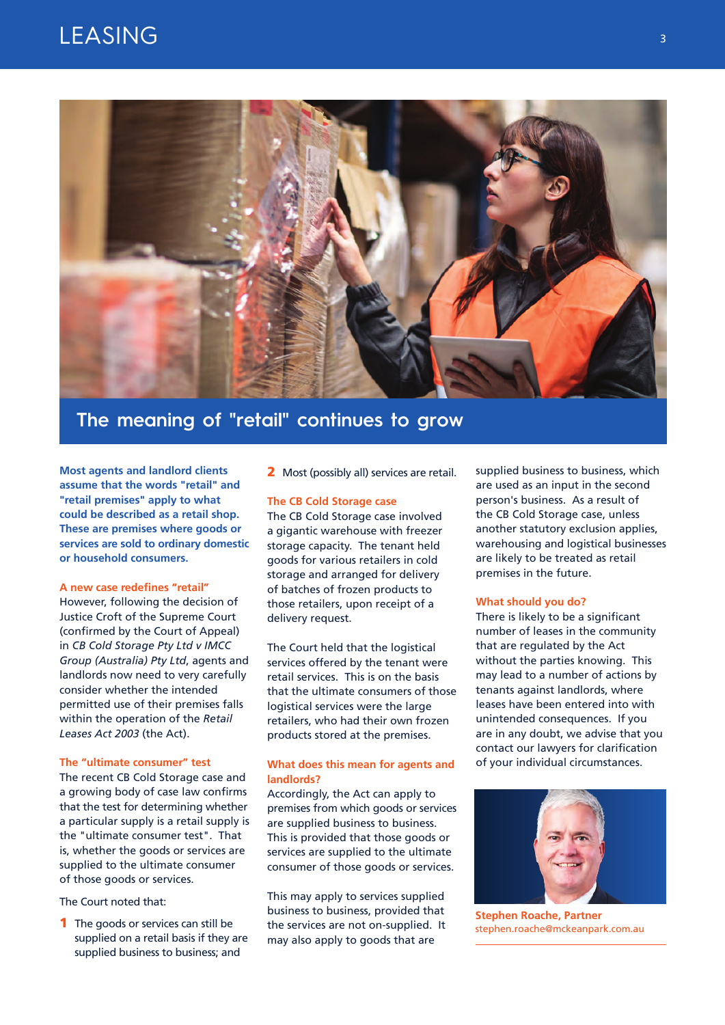# LEASING



## **The meaning of "retail" continues to grow**

**Most agents and landlord clients assume that the words "retail" and "retail premises" apply to what could be described as a retail shop. These are premises where goods or services are sold to ordinary domestic or household consumers.** 

#### **A new case redefines "retail"**

However, following the decision of Justice Croft of the Supreme Court (confirmed by the Court of Appeal) in *CB Cold Storage Pty Ltd v IMCC Group (Australia) Pty Ltd*, agents and landlords now need to very carefully consider whether the intended permitted use of their premises falls within the operation of the *Retail Leases Act 2003* (the Act).

#### **The "ultimate consumer" test**

The recent CB Cold Storage case and a growing body of case law confirms that the test for determining whether a particular supply is a retail supply is the "ultimate consumer test". That is, whether the goods or services are supplied to the ultimate consumer of those goods or services.

#### The Court noted that:

**1** The goods or services can still be supplied on a retail basis if they are supplied business to business; and

**2** Most (possibly all) services are retail.

#### **The CB Cold Storage case**

The CB Cold Storage case involved a gigantic warehouse with freezer storage capacity. The tenant held goods for various retailers in cold storage and arranged for delivery of batches of frozen products to those retailers, upon receipt of a delivery request.

The Court held that the logistical services offered by the tenant were retail services. This is on the basis that the ultimate consumers of those logistical services were the large retailers, who had their own frozen products stored at the premises.

## **What does this mean for agents and landlords?**

Accordingly, the Act can apply to premises from which goods or services are supplied business to business. This is provided that those goods or services are supplied to the ultimate consumer of those goods or services.

This may apply to services supplied business to business, provided that the services are not on-supplied. It may also apply to goods that are

supplied business to business, which are used as an input in the second person's business. As a result of the CB Cold Storage case, unless another statutory exclusion applies, warehousing and logistical businesses are likely to be treated as retail premises in the future.

#### **What should you do?**

There is likely to be a significant number of leases in the community that are regulated by the Act without the parties knowing. This may lead to a number of actions by tenants against landlords, where leases have been entered into with unintended consequences. If you are in any doubt, we advise that you contact our lawyers for clarification of your individual circumstances.



**Stephen Roache, Partner** stephen.roache@mckeanpark.com.au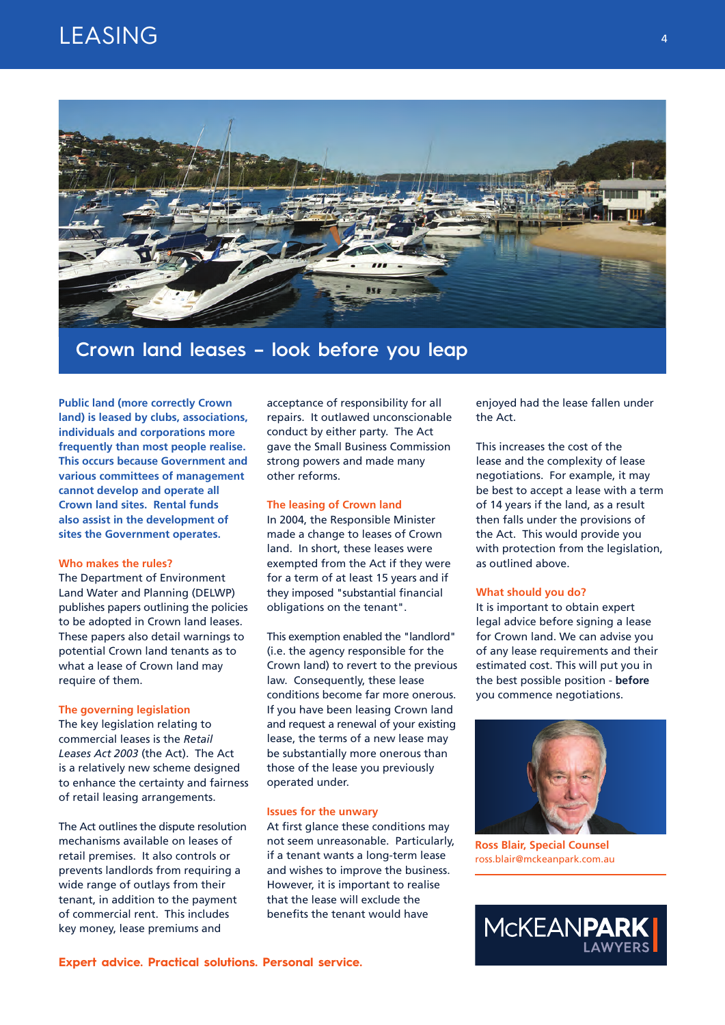# LEASING



## **Crown land leases – look before you leap**

**Public land (more correctly Crown land) is leased by clubs, associations, individuals and corporations more frequently than most people realise. This occurs because Government and various committees of management cannot develop and operate all Crown land sites. Rental funds also assist in the development of sites the Government operates.** 

#### **Who makes the rules?**

The Department of Environment Land Water and Planning (DELWP) publishes papers outlining the policies to be adopted in Crown land leases. These papers also detail warnings to potential Crown land tenants as to what a lease of Crown land may require of them.

#### **The governing legislation**

The key legislation relating to commercial leases is the *Retail Leases Act 2003* (the Act). The Act is a relatively new scheme designed to enhance the certainty and fairness of retail leasing arrangements.

The Act outlines the dispute resolution mechanisms available on leases of retail premises. It also controls or prevents landlords from requiring a wide range of outlays from their tenant, in addition to the payment of commercial rent. This includes key money, lease premiums and

acceptance of responsibility for all repairs. It outlawed unconscionable conduct by either party. The Act gave the Small Business Commission strong powers and made many other reforms.

#### **The leasing of Crown land**

In 2004, the Responsible Minister made a change to leases of Crown land. In short, these leases were exempted from the Act if they were for a term of at least 15 years and if they imposed "substantial financial obligations on the tenant".

This exemption enabled the "landlord" (i.e. the agency responsible for the Crown land) to revert to the previous law. Consequently, these lease conditions become far more onerous. If you have been leasing Crown land and request a renewal of your existing lease, the terms of a new lease may be substantially more onerous than those of the lease you previously operated under.

### **Issues for the unwary**

At first glance these conditions may not seem unreasonable. Particularly, if a tenant wants a long-term lease and wishes to improve the business. However, it is important to realise that the lease will exclude the benefits the tenant would have

enjoyed had the lease fallen under the Act.

This increases the cost of the lease and the complexity of lease negotiations. For example, it may be best to accept a lease with a term of 14 years if the land, as a result then falls under the provisions of the Act. This would provide you with protection from the legislation, as outlined above.

#### **What should you do?**

It is important to obtain expert legal advice before signing a lease for Crown land. We can advise you of any lease requirements and their estimated cost. This will put you in the best possible position - **before** you commence negotiations.



**Ross Blair, Special Counsel** ross.blair@mckeanpark.com.au

MCKEANPARK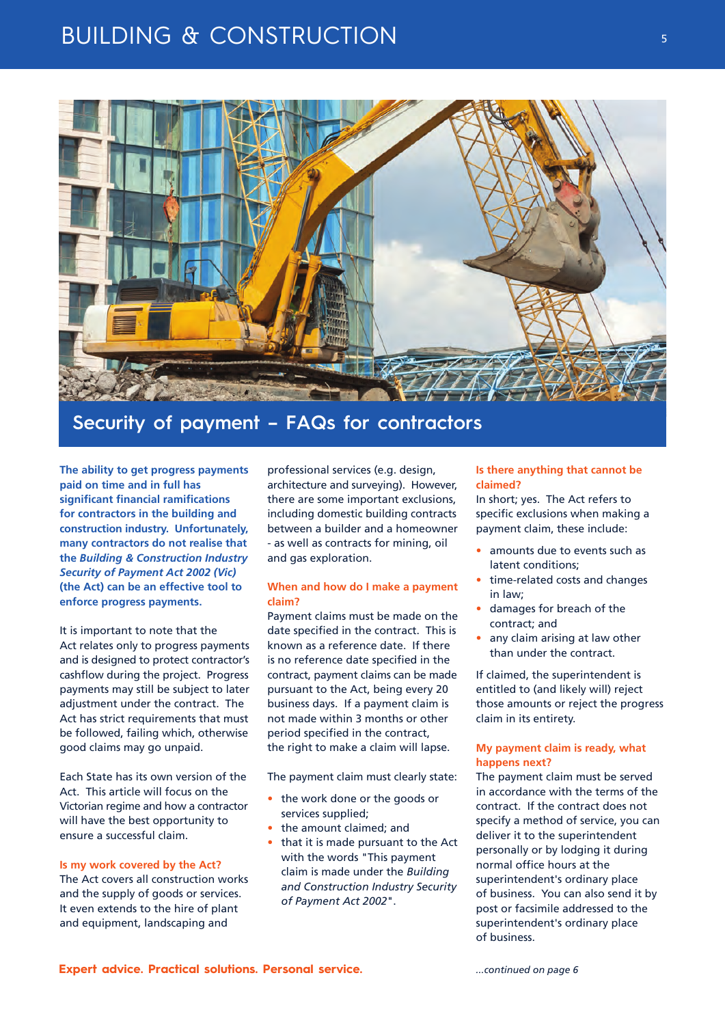# **BUILDING & CONSTRUCTION**



## **Security of payment – FAQs for contractors**

**The ability to get progress payments paid on time and in full has significant financial ramifications for contractors in the building and construction industry. Unfortunately, many contractors do not realise that the** *Building & Construction Industry Security of Payment Act 2002 (Vic)* **(the Act) can be an effective tool to enforce progress payments.**

It is important to note that the Act relates only to progress payments and is designed to protect contractor's cashflow during the project. Progress payments may still be subject to later adjustment under the contract. The Act has strict requirements that must be followed, failing which, otherwise good claims may go unpaid.

Each State has its own version of the Act. This article will focus on the Victorian regime and how a contractor will have the best opportunity to ensure a successful claim.

#### **Is my work covered by the Act?**

The Act covers all construction works and the supply of goods or services. It even extends to the hire of plant and equipment, landscaping and

professional services (e.g. design, architecture and surveying). However, there are some important exclusions, including domestic building contracts between a builder and a homeowner - as well as contracts for mining, oil and gas exploration.

### **When and how do I make a payment claim?**

Payment claims must be made on the date specified in the contract. This is known as a reference date. If there is no reference date specified in the contract, payment claims can be made pursuant to the Act, being every 20 business days. If a payment claim is not made within 3 months or other period specified in the contract, the right to make a claim will lapse.

The payment claim must clearly state:

- the work done or the goods or services supplied;
- the amount claimed; and
- that it is made pursuant to the Act with the words "This payment claim is made under the *Building and Construction Industry Security of Payment Act 2002*".

## **Is there anything that cannot be claimed?**

In short; yes. The Act refers to specific exclusions when making a payment claim, these include:

- amounts due to events such as latent conditions;
- time-related costs and changes in law;
- damages for breach of the contract; and
- any claim arising at law other than under the contract.

If claimed, the superintendent is entitled to (and likely will) reject those amounts or reject the progress claim in its entirety.

## **My payment claim is ready, what happens next?**

The payment claim must be served in accordance with the terms of the contract. If the contract does not specify a method of service, you can deliver it to the superintendent personally or by lodging it during normal office hours at the superintendent's ordinary place of business. You can also send it by post or facsimile addressed to the superintendent's ordinary place of business.